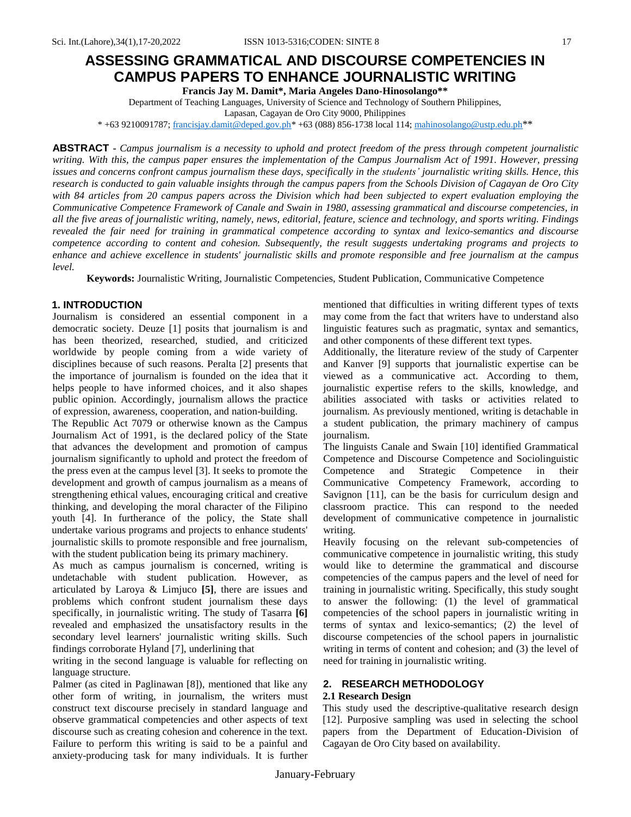**Francis Jay M. Damit\*, Maria Angeles Dano-Hinosolango\*\***

Department of Teaching Languages, University of Science and Technology of Southern Philippines,

Lapasan, Cagayan de Oro City 9000, Philippines

\* +63 9210091787[; francisjay.damit@deped.gov.ph\\*](mailto:francisjay.damit@deped.gov.ph) +63 (088) 856-1738 local 114[; mahinosolango@ustp.edu.ph](mailto:mahinosolango@ustp.edu.ph)\*\*

**ABSTRACT** - Campus journalism is a necessity to uphold and protect freedom of the press through competent journalistic writing. With this, the campus paper ensures the implementation of the Campus Journalism Act of 1991. However, pressing issues and concerns confront campus journalism these days, specifically in the students' journalistic writing skills. Hence, this research is conducted to gain valuable insights through the campus papers from the Schools Division of Cagayan de Oro City with 84 articles from 20 campus papers across the Division which had been subjected to expert evaluation employing the *Communicative Competence Framework of Canale and Swain in 1980, assessing grammatical and discourse competencies, in* all the five areas of journalistic writing, namely, news, editorial, feature, science and technology, and sports writing. Findings revealed the fair need for training in grammatical competence according to syntax and lexico-semantics and discourse *competence according to content and cohesion. Subsequently, the result suggests undertaking programs and projects to* enhance and achieve excellence in students' journalistic skills and promote responsible and free journalism at the campus *level.*

**Keywords:** Journalistic Writing, Journalistic Competencies, Student Publication, Communicative Competence

## **1. INTRODUCTION**

Journalism is considered an essential component in a democratic society. Deuze [1] posits that journalism is and has been theorized, researched, studied, and criticized worldwide by people coming from a wide variety of disciplines because of such reasons. Peralta [2] presents that the importance of journalism is founded on the idea that it helps people to have informed choices, and it also shapes public opinion. Accordingly, journalism allows the practice of expression, awareness, cooperation, and nation-building.

The Republic Act 7079 or otherwise known as the Campus Journalism Act of 1991, is the declared policy of the State that advances the development and promotion of campus journalism significantly to uphold and protect the freedom of the press even at the campus level [3]. It seeks to promote the development and growth of campus journalism as a means of strengthening ethical values, encouraging critical and creative thinking, and developing the moral character of the Filipino youth [4]. In furtherance of the policy, the State shall undertake various programs and projects to enhance students' journalistic skills to promote responsible and free journalism, with the student publication being its primary machinery.

As much as campus journalism is concerned, writing is undetachable with student publication. However, as articulated by Laroya & Limjuco **[5]**, there are issues and problems which confront student journalism these days specifically, in journalistic writing. The study of Tasarra **[6]** revealed and emphasized the unsatisfactory results in the secondary level learners' journalistic writing skills. Such findings corroborate Hyland [7], underlining that

writing in the second language is valuable for reflecting on language structure.

Palmer (as cited in Paglinawan [8]), mentioned that like any other form of writing, in journalism, the writers must construct text discourse precisely in standard language and observe grammatical competencies and other aspects of text discourse such as creating cohesion and coherence in the text. Failure to perform this writing is said to be a painful and anxiety-producing task for many individuals. It is further

mentioned that difficulties in writing different types of texts may come from the fact that writers have to understand also linguistic features such as pragmatic, syntax and semantics, and other components of these different text types.

Additionally, the literature review of the study of Carpenter and Kanver [9] supports that journalistic expertise can be viewed as a communicative act. According to them, journalistic expertise refers to the skills, knowledge, and abilities associated with tasks or activities related to journalism. As previously mentioned, writing is detachable in a student publication, the primary machinery of campus journalism.

The linguists Canale and Swain [10] identified Grammatical Competence and Discourse Competence and Sociolinguistic Competence and Strategic Competence in their Communicative Competency Framework, according to Savignon [11], can be the basis for curriculum design and classroom practice. This can respond to the needed development of communicative competence in journalistic writing.

Heavily focusing on the relevant sub-competencies of communicative competence in journalistic writing, this study would like to determine the grammatical and discourse competencies of the campus papers and the level of need for training in journalistic writing. Specifically, this study sought to answer the following: (1) the level of grammatical competencies of the school papers in journalistic writing in terms of syntax and lexico-semantics; (2) the level of discourse competencies of the school papers in journalistic writing in terms of content and cohesion; and (3) the level of need for training in journalistic writing.

# **2. RESEARCH METHODOLOGY**

#### **2.1 Research Design**

This study used the descriptive-qualitative research design [12]. Purposive sampling was used in selecting the school papers from the Department of Education-Division of Cagayan de Oro City based on availability.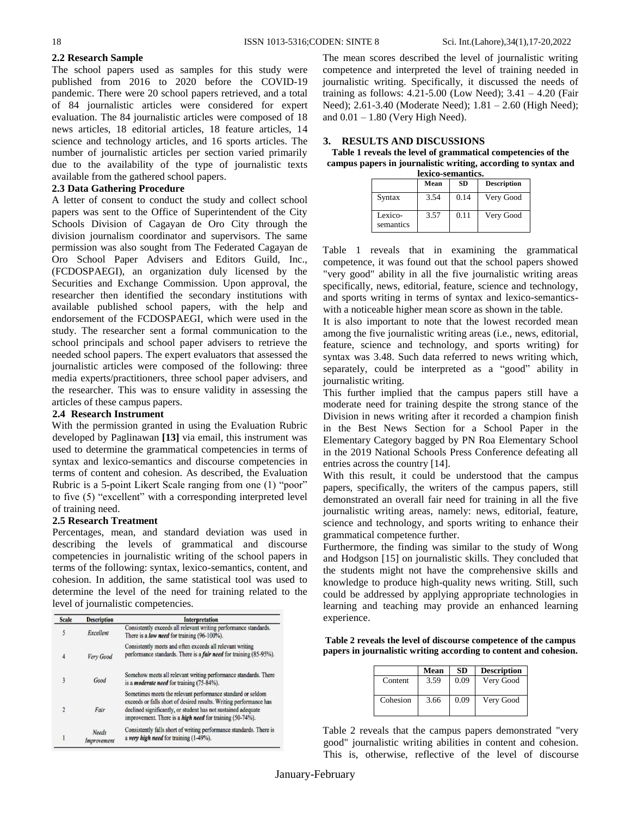#### **2.2 Research Sample**

The school papers used as samples for this study were published from 2016 to 2020 before the COVID-19 pandemic. There were 20 school papers retrieved, and a total of 84 journalistic articles were considered for expert evaluation. The 84 journalistic articles were composed of 18 news articles, 18 editorial articles, 18 feature articles, 14 science and technology articles, and 16 sports articles. The number of journalistic articles per section varied primarily due to the availability of the type of journalistic texts available from the gathered school papers.

### **2.3 Data Gathering Procedure**

A letter of consent to conduct the study and collect school papers was sent to the Office of Superintendent of the City Schools Division of Cagayan de Oro City through the division journalism coordinator and supervisors. The same permission was also sought from The Federated Cagayan de Oro School Paper Advisers and Editors Guild, Inc., (FCDOSPAEGI), an organization duly licensed by the Securities and Exchange Commission. Upon approval, the researcher then identified the secondary institutions with available published school papers, with the help and endorsement of the FCDOSPAEGI, which were used in the study. The researcher sent a formal communication to the school principals and school paper advisers to retrieve the needed school papers. The expert evaluators that assessed the journalistic articles were composed of the following: three media experts/practitioners, three school paper advisers, and the researcher. This was to ensure validity in assessing the articles of these campus papers.

# **2.4 Research Instrument**

With the permission granted in using the Evaluation Rubric developed by Paglinawan **[13]** via email, this instrument was used to determine the grammatical competencies in terms of syntax and lexico-semantics and discourse competencies in terms of content and cohesion. As described, the Evaluation Rubric is a 5-point Likert Scale ranging from one (1) "poor" to five (5) "excellent" with a corresponding interpreted level of training need.

### **2.5 Research Treatment**

Percentages, mean, and standard deviation was used in describing the levels of grammatical and discourse competencies in journalistic writing of the school papers in terms of the following: syntax, lexico-semantics, content, and cohesion. In addition, the same statistical tool was used to determine the level of the need for training related to the level of journalistic competencies.

| <b>Scale</b>            | <b>Description</b>          | <b>Interpretation</b>                                                                                                                                                                                                                                                 |  |  |
|-------------------------|-----------------------------|-----------------------------------------------------------------------------------------------------------------------------------------------------------------------------------------------------------------------------------------------------------------------|--|--|
| 5                       | Excellent                   | Consistently exceeds all relevant writing performance standards.<br>There is a low need for training (96-100%).                                                                                                                                                       |  |  |
| 4                       | Very Good                   | Consistently meets and often exceeds all relevant writing<br>performance standards. There is a <i>fair need</i> for training (85-95%).                                                                                                                                |  |  |
| 3                       | Good                        | Somehow meets all relevant writing performance standards. There<br>is a <i>moderate need</i> for training (75-84%).                                                                                                                                                   |  |  |
| $\overline{\mathbf{c}}$ | Fair                        | Sometimes meets the relevant performance standard or seldom<br>exceeds or falls short of desired results. Writing performance has<br>declined significantly, or student has not sustained adequate<br>improvement. There is a <i>high need</i> for training (50-74%). |  |  |
|                         | <b>Needs</b><br>Improvement | Consistently falls short of writing performance standards. There is<br>a very high need for training (1-49%).                                                                                                                                                         |  |  |

The mean scores described the level of journalistic writing competence and interpreted the level of training needed in journalistic writing. Specifically, it discussed the needs of training as follows: 4.21-5.00 (Low Need); 3.41 – 4.20 (Fair Need); 2.61-3.40 (Moderate Need); 1.81 – 2.60 (High Need); and  $0.01 - 1.80$  (Very High Need).

#### **3. RESULTS AND DISCUSSIONS**

**Table 1 reveals the level of grammatical competencies of the campus papers in journalistic writing, according to syntax and lexico-semantics.**

|                      | Mean | <b>SD</b> | <b>Description</b> |  |  |
|----------------------|------|-----------|--------------------|--|--|
| Syntax               | 3.54 | 0.14      | Very Good          |  |  |
| Lexico-<br>semantics | 3.57 | 0.11      | Very Good          |  |  |

Table 1 reveals that in examining the grammatical competence, it was found out that the school papers showed "very good" ability in all the five journalistic writing areas specifically, news, editorial, feature, science and technology, and sports writing in terms of syntax and lexico-semanticswith a noticeable higher mean score as shown in the table.

It is also important to note that the lowest recorded mean among the five journalistic writing areas (i.e., news, editorial, feature, science and technology, and sports writing) for syntax was 3.48. Such data referred to news writing which, separately, could be interpreted as a "good" ability in journalistic writing.

This further implied that the campus papers still have a moderate need for training despite the strong stance of the Division in news writing after it recorded a champion finish in the Best News Section for a School Paper in the Elementary Category bagged by PN Roa Elementary School in the 2019 National Schools Press Conference defeating all entries across the country [14].

With this result, it could be understood that the campus papers, specifically, the writers of the campus papers, still demonstrated an overall fair need for training in all the five journalistic writing areas, namely: news, editorial, feature, science and technology, and sports writing to enhance their grammatical competence further.

Furthermore, the finding was similar to the study of Wong and Hodgson [15] on journalistic skills. They concluded that the students might not have the comprehensive skills and knowledge to produce high-quality news writing. Still, such could be addressed by applying appropriate technologies in learning and teaching may provide an enhanced learning experience.

**Table 2 reveals the level of discourse competence of the campus papers in journalistic writing according to content and cohesion.**

|          | Mean | SD   | <b>Description</b> |
|----------|------|------|--------------------|
| Content  | 3.59 | 0.09 | Very Good          |
| Cohesion | 3.66 | 0.09 | Very Good          |

Table 2 reveals that the campus papers demonstrated "very good" journalistic writing abilities in content and cohesion. This is, otherwise, reflective of the level of discourse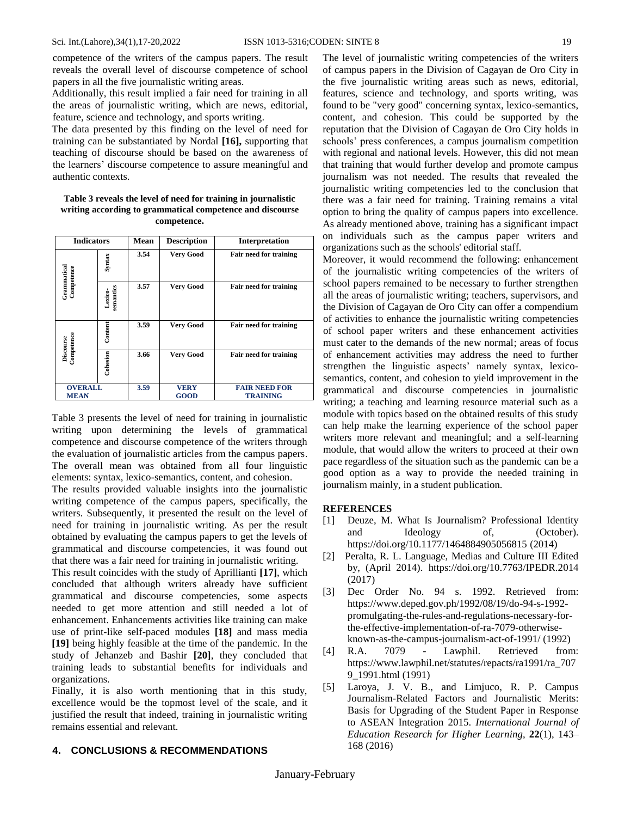competence of the writers of the campus papers. The result reveals the overall level of discourse competence of school papers in all the five journalistic writing areas.

Additionally, this result implied a fair need for training in all the areas of journalistic writing, which are news, editorial, feature, science and technology, and sports writing.

The data presented by this finding on the level of need for training can be substantiated by Nordal **[16],** supporting that teaching of discourse should be based on the awareness of the learners' discourse competence to assure meaningful and authentic contexts.

#### **Table 3 reveals the level of need for training in journalistic writing according to grammatical competence and discourse competence.**

| <b>Indicators</b>             |                      | Mean | <b>Description</b>         | Interpretation                          |
|-------------------------------|----------------------|------|----------------------------|-----------------------------------------|
|                               | Syntax               | 3.54 | <b>Very Good</b>           | <b>Fair need for training</b>           |
| Grammatical<br>Competence     | semantics<br>Lexico- | 3.57 | <b>Very Good</b>           | <b>Fair need for training</b>           |
| Competence<br>Discourse       | Content              | 3.59 | <b>Very Good</b>           | <b>Fair need for training</b>           |
|                               | Cohesion             | 3.66 | <b>Very Good</b>           | <b>Fair need for training</b>           |
| <b>OVERALL</b><br><b>MEAN</b> |                      | 3.59 | <b>VERY</b><br><b>GOOD</b> | <b>FAIR NEED FOR</b><br><b>TRAINING</b> |

Table 3 presents the level of need for training in journalistic writing upon determining the levels of grammatical competence and discourse competence of the writers through the evaluation of journalistic articles from the campus papers. The overall mean was obtained from all four linguistic elements: syntax, lexico-semantics, content, and cohesion.

The results provided valuable insights into the journalistic writing competence of the campus papers, specifically, the writers. Subsequently, it presented the result on the level of need for training in journalistic writing. As per the result obtained by evaluating the campus papers to get the levels of grammatical and discourse competencies, it was found out that there was a fair need for training in journalistic writing.

This result coincides with the study of Aprillianti **[17]**, which concluded that although writers already have sufficient grammatical and discourse competencies, some aspects needed to get more attention and still needed a lot of enhancement. Enhancements activities like training can make use of print-like self-paced modules **[18]** and mass media **[19]** being highly feasible at the time of the pandemic. In the study of Jehanzeb and Bashir **[20]**, they concluded that training leads to substantial benefits for individuals and organizations.

Finally, it is also worth mentioning that in this study, excellence would be the topmost level of the scale, and it justified the result that indeed, training in journalistic writing remains essential and relevant.

### **4. CONCLUSIONS & RECOMMENDATIONS**

The level of journalistic writing competencies of the writers of campus papers in the Division of Cagayan de Oro City in the five journalistic writing areas such as news, editorial, features, science and technology, and sports writing, was found to be "very good" concerning syntax, lexico-semantics, content, and cohesion. This could be supported by the reputation that the Division of Cagayan de Oro City holds in schools' press conferences, a campus journalism competition with regional and national levels. However, this did not mean that training that would further develop and promote campus journalism was not needed. The results that revealed the journalistic writing competencies led to the conclusion that there was a fair need for training. Training remains a vital option to bring the quality of campus papers into excellence. As already mentioned above, training has a significant impact on individuals such as the campus paper writers and organizations such as the schools' editorial staff.

Moreover, it would recommend the following: enhancement of the journalistic writing competencies of the writers of school papers remained to be necessary to further strengthen all the areas of journalistic writing; teachers, supervisors, and the Division of Cagayan de Oro City can offer a compendium of activities to enhance the journalistic writing competencies of school paper writers and these enhancement activities must cater to the demands of the new normal; areas of focus of enhancement activities may address the need to further strengthen the linguistic aspects' namely syntax, lexicosemantics, content, and cohesion to yield improvement in the grammatical and discourse competencies in journalistic writing; a teaching and learning resource material such as a module with topics based on the obtained results of this study can help make the learning experience of the school paper writers more relevant and meaningful; and a self-learning module, that would allow the writers to proceed at their own pace regardless of the situation such as the pandemic can be a good option as a way to provide the needed training in journalism mainly, in a student publication.

#### **REFERENCES**

- [1] Deuze, M. What Is Journalism? Professional Identity and Ideology of, (October). <https://doi.org/10.1177/1464884905056815> (2014)
- [2] Peralta, R. L. Language, Medias and Culture III Edited by, (April 2014). <https://doi.org/10.7763/IPEDR.2014> (2017)
- [3] Dec Order No. 94 s. 1992. Retrieved from: [https://www.deped.gov.ph/1992/08/19/do-94-s-1992](https://www.deped.gov.ph/1992/08/19/do-94-s-1992-promulgating-the-rules-and-regulations-necessary-for-the-effective-implementation-of-ra-7079-otherwise-known-as-the-campus-journalism-act-of-1991/) [promulgating-the-rules-and-regulations-necessary-for](https://www.deped.gov.ph/1992/08/19/do-94-s-1992-promulgating-the-rules-and-regulations-necessary-for-the-effective-implementation-of-ra-7079-otherwise-known-as-the-campus-journalism-act-of-1991/)[the-effective-implementation-of-ra-7079-otherwise](https://www.deped.gov.ph/1992/08/19/do-94-s-1992-promulgating-the-rules-and-regulations-necessary-for-the-effective-implementation-of-ra-7079-otherwise-known-as-the-campus-journalism-act-of-1991/)[known-as-the-campus-journalism-act-of-1991/](https://www.deped.gov.ph/1992/08/19/do-94-s-1992-promulgating-the-rules-and-regulations-necessary-for-the-effective-implementation-of-ra-7079-otherwise-known-as-the-campus-journalism-act-of-1991/) (1992)
- [4] R.A. 7079 Lawphil. Retrieved from: https://www.lawphil.net/statutes/repacts/ra1991/ra\_707 9\_1991.html (1991)
- [5] Laroya, J. V. B., and Limjuco, R. P. Campus Journalism-Related Factors and Journalistic Merits: Basis for Upgrading of the Student Paper in Response to ASEAN Integration 2015. *International Journal of Education Research for Higher Learning*, **22**(1), 143– 168 (2016)